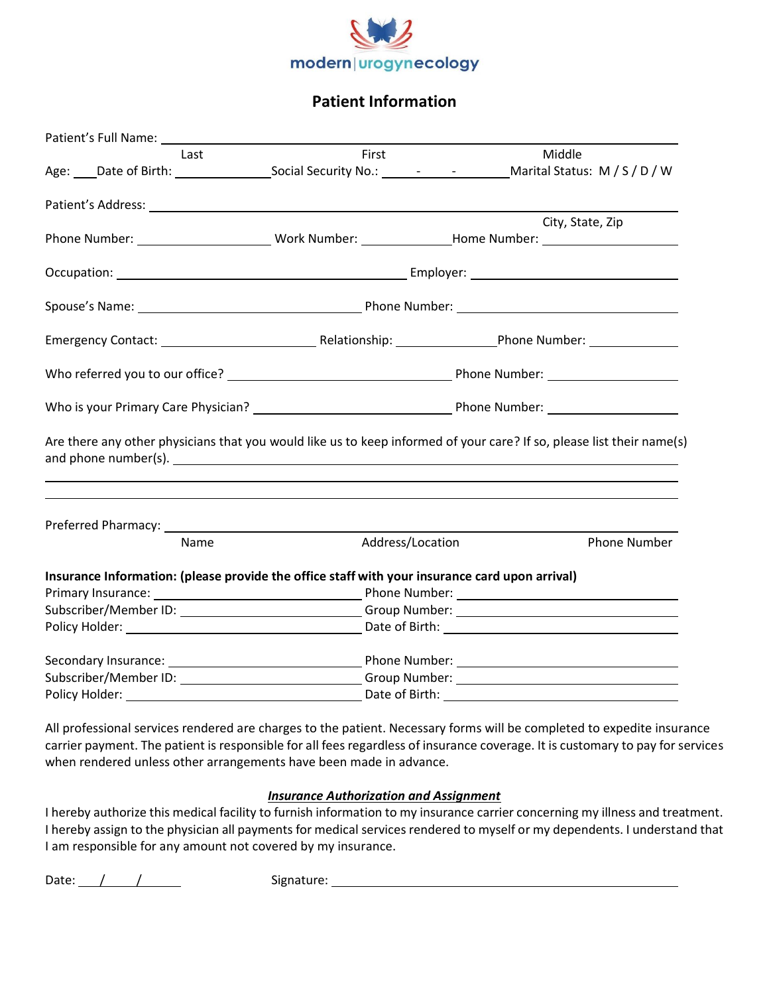

## **Patient Information**

| Patient's Full Name: Name and Separate and Separate and Separate and Separate and Separate and Separate and Separate and Separate and Separate and Separate and Separate and Separate and Separate and Separate and Separate a |                  |                                                                                                                       |
|--------------------------------------------------------------------------------------------------------------------------------------------------------------------------------------------------------------------------------|------------------|-----------------------------------------------------------------------------------------------------------------------|
| Last                                                                                                                                                                                                                           | First            | Middle                                                                                                                |
|                                                                                                                                                                                                                                |                  | Age: Date of Birth: Social Security No.: 1994 - Marital Status: M / S / D / W                                         |
|                                                                                                                                                                                                                                |                  |                                                                                                                       |
|                                                                                                                                                                                                                                |                  | City, State, Zip                                                                                                      |
|                                                                                                                                                                                                                                |                  |                                                                                                                       |
|                                                                                                                                                                                                                                |                  |                                                                                                                       |
|                                                                                                                                                                                                                                |                  |                                                                                                                       |
|                                                                                                                                                                                                                                |                  |                                                                                                                       |
|                                                                                                                                                                                                                                |                  |                                                                                                                       |
|                                                                                                                                                                                                                                |                  |                                                                                                                       |
|                                                                                                                                                                                                                                |                  | Are there any other physicians that you would like us to keep informed of your care? If so, please list their name(s) |
|                                                                                                                                                                                                                                |                  |                                                                                                                       |
| Name                                                                                                                                                                                                                           | Address/Location | <b>Phone Number</b>                                                                                                   |
| Insurance Information: (please provide the office staff with your insurance card upon arrival)                                                                                                                                 |                  |                                                                                                                       |
|                                                                                                                                                                                                                                |                  |                                                                                                                       |
|                                                                                                                                                                                                                                |                  |                                                                                                                       |
|                                                                                                                                                                                                                                |                  |                                                                                                                       |
|                                                                                                                                                                                                                                |                  |                                                                                                                       |
|                                                                                                                                                                                                                                |                  |                                                                                                                       |
|                                                                                                                                                                                                                                |                  |                                                                                                                       |

All professional services rendered are charges to the patient. Necessary forms will be completed to expedite insurance carrier payment. The patient is responsible for all fees regardless of insurance coverage. It is customary to pay for services when rendered unless other arrangements have been made in advance.

### *Insurance Authorization and Assignment*

I hereby authorize this medical facility to furnish information to my insurance carrier concerning my illness and treatment. I hereby assign to the physician all payments for medical services rendered to myself or my dependents. I understand that I am responsible for any amount not covered by my insurance.

Date: / / Signature: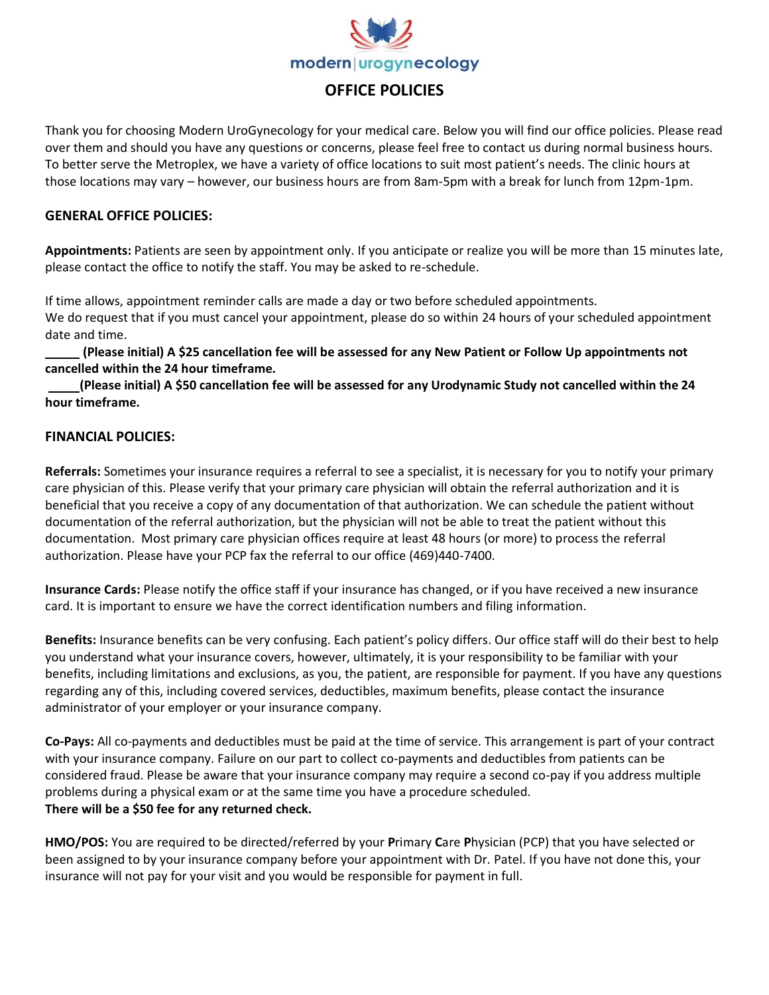

## **OFFICE POLICIES**

Thank you for choosing Modern UroGynecology for your medical care. Below you will find our office policies. Please read over them and should you have any questions or concerns, please feel free to contact us during normal business hours. To better serve the Metroplex, we have a variety of office locations to suit most patient's needs. The clinic hours at those locations may vary – however, our business hours are from 8am-5pm with a break for lunch from 12pm-1pm.

### **GENERAL OFFICE POLICIES:**

**Appointments:** Patients are seen by appointment only. If you anticipate or realize you will be more than 15 minutes late, please contact the office to notify the staff. You may be asked to re-schedule.

If time allows, appointment reminder calls are made a day or two before scheduled appointments. We do request that if you must cancel your appointment, please do so within 24 hours of your scheduled appointment date and time.

 **(Please initial) A \$25 cancellation fee will be assessed for any New Patient or Follow Up appointments not cancelled within the 24 hour timeframe.**

 **(Please initial) A \$50 cancellation fee will be assessed for any Urodynamic Study not cancelled within the 24 hour timeframe.** 

#### **FINANCIAL POLICIES:**

**Referrals:** Sometimes your insurance requires a referral to see a specialist, it is necessary for you to notify your primary care physician of this. Please verify that your primary care physician will obtain the referral authorization and it is beneficial that you receive a copy of any documentation of that authorization. We can schedule the patient without documentation of the referral authorization, but the physician will not be able to treat the patient without this documentation. Most primary care physician offices require at least 48 hours (or more) to process the referral authorization. Please have your PCP fax the referral to our office (469)440-7400.

**Insurance Cards:** Please notify the office staff if your insurance has changed, or if you have received a new insurance card. It is important to ensure we have the correct identification numbers and filing information.

**Benefits:** Insurance benefits can be very confusing. Each patient's policy differs. Our office staff will do their best to help you understand what your insurance covers, however, ultimately, it is your responsibility to be familiar with your benefits, including limitations and exclusions, as you, the patient, are responsible for payment. If you have any questions regarding any of this, including covered services, deductibles, maximum benefits, please contact the insurance administrator of your employer or your insurance company.

**Co-Pays:** All co-payments and deductibles must be paid at the time of service. This arrangement is part of your contract with your insurance company. Failure on our part to collect co-payments and deductibles from patients can be considered fraud. Please be aware that your insurance company may require a second co-pay if you address multiple problems during a physical exam or at the same time you have a procedure scheduled. **There will be a \$50 fee for any returned check.**

**HMO/POS:** You are required to be directed/referred by your **P**rimary **C**are **P**hysician (PCP) that you have selected or been assigned to by your insurance company before your appointment with Dr. Patel. If you have not done this, your insurance will not pay for your visit and you would be responsible for payment in full.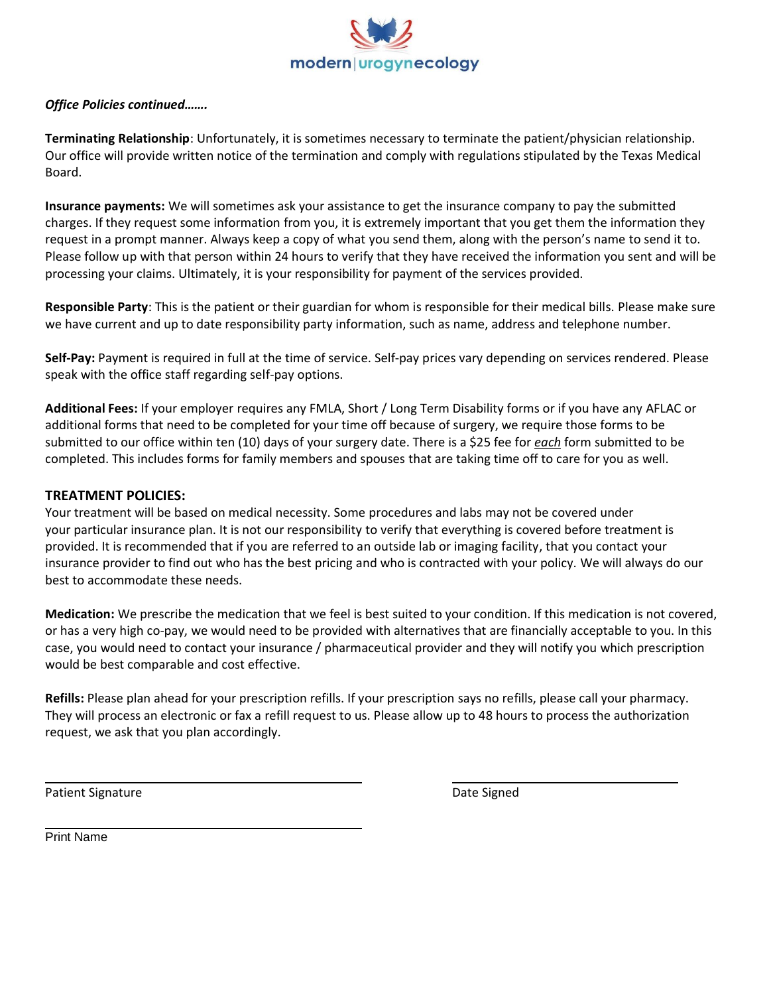

### *Office Policies continued…….*

**Terminating Relationship**: Unfortunately, it is sometimes necessary to terminate the patient/physician relationship. Our office will provide written notice of the termination and comply with regulations stipulated by the Texas Medical Board.

**Insurance payments:** We will sometimes ask your assistance to get the insurance company to pay the submitted charges. If they request some information from you, it is extremely important that you get them the information they request in a prompt manner. Always keep a copy of what you send them, along with the person's name to send it to. Please follow up with that person within 24 hours to verify that they have received the information you sent and will be processing your claims. Ultimately, it is your responsibility for payment of the services provided.

**Responsible Party**: This is the patient or their guardian for whom is responsible for their medical bills. Please make sure we have current and up to date responsibility party information, such as name, address and telephone number.

**Self-Pay:** Payment is required in full at the time of service. Self-pay prices vary depending on services rendered. Please speak with the office staff regarding self-pay options.

**Additional Fees:** If your employer requires any FMLA, Short / Long Term Disability forms or if you have any AFLAC or additional forms that need to be completed for your time off because of surgery, we require those forms to be submitted to our office within ten (10) days of your surgery date. There is a \$25 fee for *each* form submitted to be completed. This includes forms for family members and spouses that are taking time off to care for you as well.

#### **TREATMENT POLICIES:**

Your treatment will be based on medical necessity. Some procedures and labs may not be covered under your particular insurance plan. It is not our responsibility to verify that everything is covered before treatment is provided. It is recommended that if you are referred to an outside lab or imaging facility, that you contact your insurance provider to find out who has the best pricing and who is contracted with your policy. We will always do our best to accommodate these needs.

**Medication:** We prescribe the medication that we feel is best suited to your condition. If this medication is not covered, or has a very high co-pay, we would need to be provided with alternatives that are financially acceptable to you. In this case, you would need to contact your insurance / pharmaceutical provider and they will notify you which prescription would be best comparable and cost effective.

**Refills:** Please plan ahead for your prescription refills. If your prescription says no refills, please call your pharmacy. They will process an electronic or fax a refill request to us. Please allow up to 48 hours to process the authorization request, we ask that you plan accordingly.

Patient Signature **Date Signature Community** Controller and Date Signed Date Signed

Print Name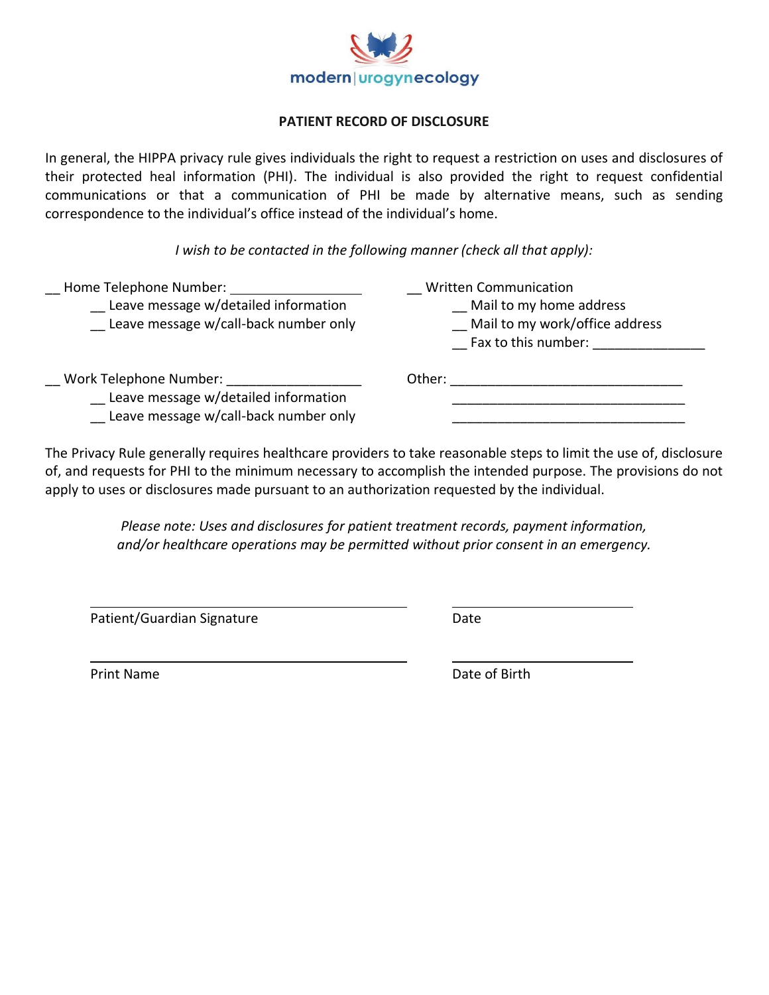

## **PATIENT RECORD OF DISCLOSURE**

In general, the HIPPA privacy rule gives individuals the right to request a restriction on uses and disclosures of their protected heal information (PHI). The individual is also provided the right to request confidential communications or that a communication of PHI be made by alternative means, such as sending correspondence to the individual's office instead of the individual's home.

*I wish to be contacted in the following manner (check all that apply):*

| Home Telephone Number:<br>Leave message w/detailed information<br>Leave message w/call-back number only | <b>Written Communication</b><br>Mail to my home address<br>Mail to my work/office address<br>Fax to this number: |
|---------------------------------------------------------------------------------------------------------|------------------------------------------------------------------------------------------------------------------|
| Work Telephone Number:<br>Leave message w/detailed information                                          | Other:                                                                                                           |

Leave message w/call-back number only

The Privacy Rule generally requires healthcare providers to take reasonable steps to limit the use of, disclosure of, and requests for PHI to the minimum necessary to accomplish the intended purpose. The provisions do not apply to uses or disclosures made pursuant to an authorization requested by the individual.

> *Please note: Uses and disclosures for patient treatment records, payment information, and/or healthcare operations may be permitted without prior consent in an emergency.*

Patient/Guardian Signature data and the Date

Print Name **Date of Birth**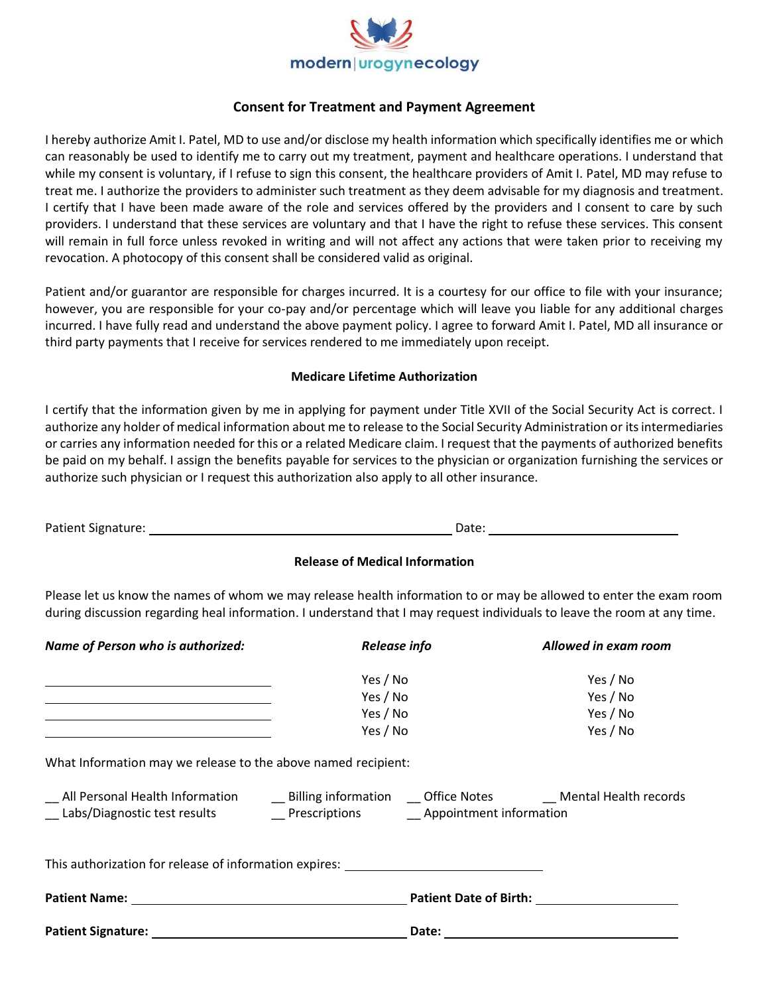

### **Consent for Treatment and Payment Agreement**

I hereby authorize Amit I. Patel, MD to use and/or disclose my health information which specifically identifies me or which can reasonably be used to identify me to carry out my treatment, payment and healthcare operations. I understand that while my consent is voluntary, if I refuse to sign this consent, the healthcare providers of Amit I. Patel, MD may refuse to treat me. I authorize the providers to administer such treatment as they deem advisable for my diagnosis and treatment. I certify that I have been made aware of the role and services offered by the providers and I consent to care by such providers. I understand that these services are voluntary and that I have the right to refuse these services. This consent will remain in full force unless revoked in writing and will not affect any actions that were taken prior to receiving my revocation. A photocopy of this consent shall be considered valid as original.

Patient and/or guarantor are responsible for charges incurred. It is a courtesy for our office to file with your insurance; however, you are responsible for your co-pay and/or percentage which will leave you liable for any additional charges incurred. I have fully read and understand the above payment policy. I agree to forward Amit I. Patel, MD all insurance or third party payments that I receive for services rendered to me immediately upon receipt.

#### **Medicare Lifetime Authorization**

I certify that the information given by me in applying for payment under Title XVII of the Social Security Act is correct. I authorize any holder of medical information about me to release to the Social Security Administration or its intermediaries or carries any information needed for this or a related Medicare claim. I request that the payments of authorized benefits be paid on my behalf. I assign the benefits payable for services to the physician or organization furnishing the services or authorize such physician or I request this authorization also apply to all other insurance.

| Patient Signature: | Date. |  |
|--------------------|-------|--|

### **Release of Medical Information**

Please let us know the names of whom we may release health information to or may be allowed to enter the exam room during discussion regarding heal information. I understand that I may request individuals to leave the room at any time.

| Name of Person who is authorized:                                                                                    | Release info                                                                                                                                                                                                   | Allowed in exam room                                                                                                                                                                                                           |
|----------------------------------------------------------------------------------------------------------------------|----------------------------------------------------------------------------------------------------------------------------------------------------------------------------------------------------------------|--------------------------------------------------------------------------------------------------------------------------------------------------------------------------------------------------------------------------------|
| <u> 1989 - Johann Stein, markin sanadi samani ya mwaka wa 1989 - Amerika mwaka wa 1989 - Amerika mwaka wa 1989 -</u> | Yes / No<br>Yes / No<br>Yes / No<br>Yes / No                                                                                                                                                                   | Yes / No<br>Yes / No<br>Yes / No<br>Yes / No                                                                                                                                                                                   |
| What Information may we release to the above named recipient:                                                        |                                                                                                                                                                                                                |                                                                                                                                                                                                                                |
|                                                                                                                      | __ All Personal Health Information ______ Billing information ____ Office Notes __________ Mental Health records<br>__ Labs/Diagnostic test results __________ Prescriptions _________ Appointment information |                                                                                                                                                                                                                                |
|                                                                                                                      | This authorization for release of information expires: _________________________                                                                                                                               |                                                                                                                                                                                                                                |
|                                                                                                                      | <b>Patient Date of Birth:</b>                                                                                                                                                                                  |                                                                                                                                                                                                                                |
|                                                                                                                      |                                                                                                                                                                                                                | Date: the contract of the contract of the contract of the contract of the contract of the contract of the contract of the contract of the contract of the contract of the contract of the contract of the contract of the cont |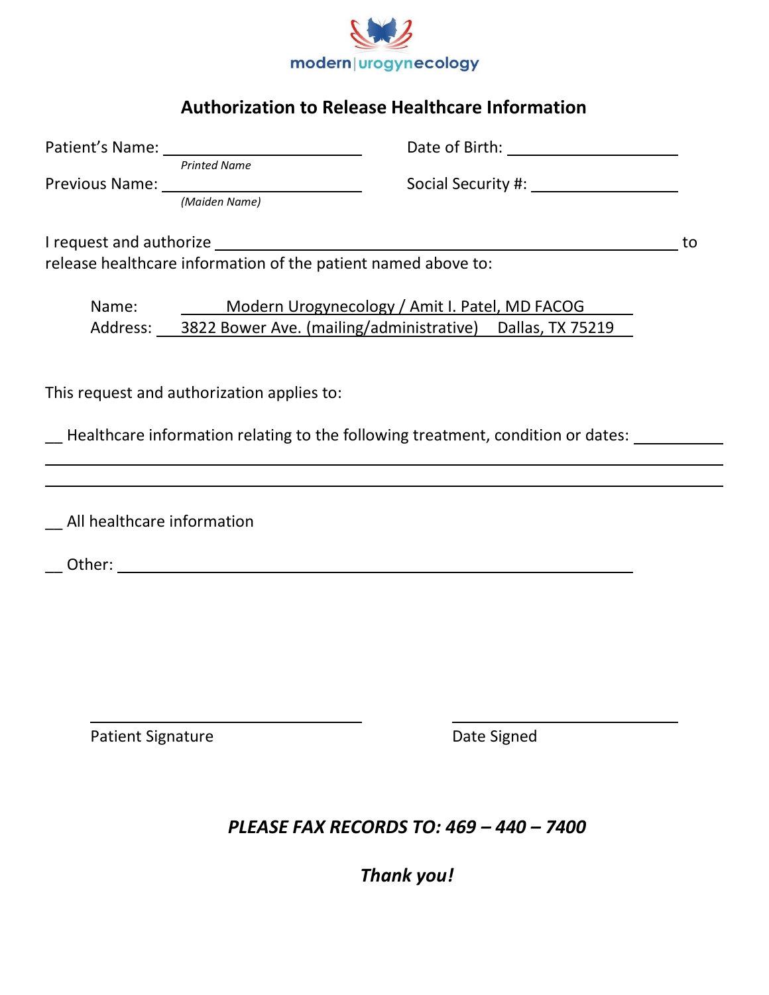

# **Authorization to Release Healthcare Information**

|                              | <b>Printed Name</b><br>Previous Name: <u>(Maiden Name)</u>                                                                 |                                                                                   |    |
|------------------------------|----------------------------------------------------------------------------------------------------------------------------|-----------------------------------------------------------------------------------|----|
|                              |                                                                                                                            |                                                                                   | to |
|                              | release healthcare information of the patient named above to:                                                              |                                                                                   |    |
|                              | Name: Modern Urogynecology / Amit I. Patel, MD FACOG<br>Address: 3822 Bower Ave. (mailing/administrative) Dallas, TX 75219 |                                                                                   |    |
|                              | This request and authorization applies to:                                                                                 |                                                                                   |    |
|                              |                                                                                                                            | - Healthcare information relating to the following treatment, condition or dates: |    |
|                              |                                                                                                                            |                                                                                   |    |
| _ All healthcare information |                                                                                                                            |                                                                                   |    |
|                              |                                                                                                                            |                                                                                   |    |
|                              |                                                                                                                            |                                                                                   |    |
|                              |                                                                                                                            |                                                                                   |    |
| <b>Patient Signature</b>     |                                                                                                                            | Date Signed                                                                       |    |
|                              |                                                                                                                            |                                                                                   |    |
|                              |                                                                                                                            | PLEASE FAX RECORDS TO: 469 - 440 - 7400                                           |    |

*Thank you!*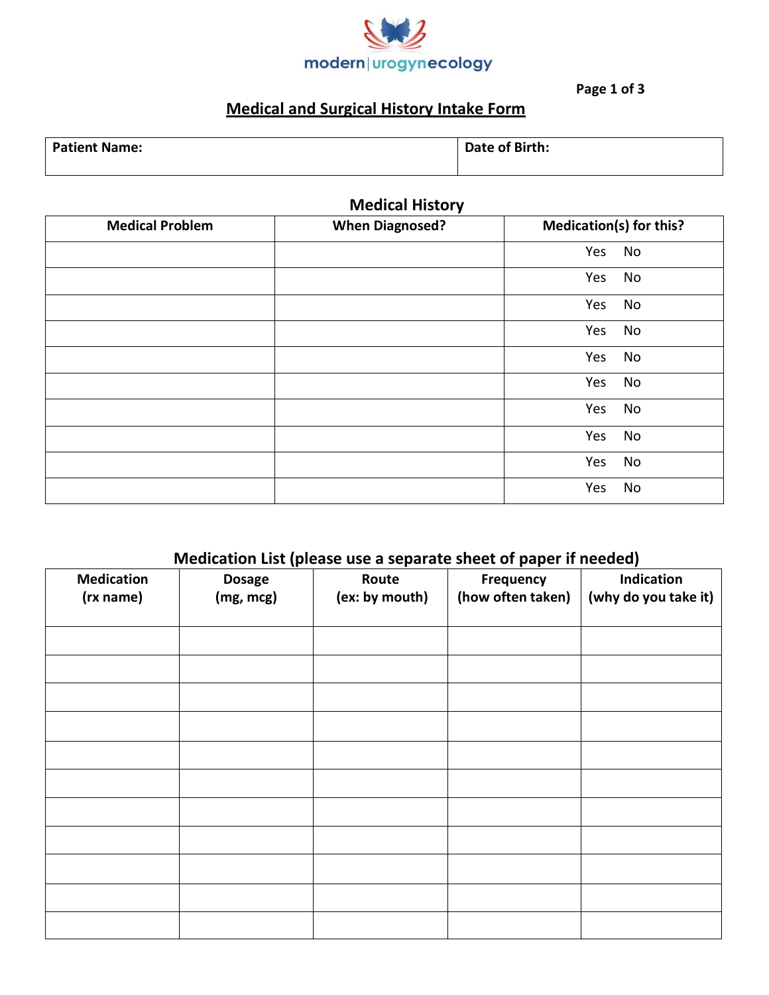

**Page 1 of 3**

# **Medical and Surgical History Intake Form**

| <b>Patient Name:</b> | Date of Birth: |
|----------------------|----------------|
|                      |                |

**Medical History**

| <b>Medical Problem</b> | <b>When Diagnosed?</b> | <b>Medication(s) for this?</b> |
|------------------------|------------------------|--------------------------------|
|                        |                        | Yes<br>No                      |
|                        |                        | Yes<br>No                      |
|                        |                        | Yes<br>No                      |
|                        |                        | Yes<br>No                      |
|                        |                        | Yes<br>No                      |
|                        |                        | Yes<br>No                      |
|                        |                        | Yes<br>No                      |
|                        |                        | Yes<br>No                      |
|                        |                        | Yes<br>No                      |
|                        |                        | Yes<br>No                      |

## **Medication List (please use a separate sheet of paper if needed)**

| <b>Medication</b> | <br><b>Dosage</b> | Route          | . .<br>Frequency  | Indication           |
|-------------------|-------------------|----------------|-------------------|----------------------|
| (rx name)         | (mg, mcg)         | (ex: by mouth) | (how often taken) | (why do you take it) |
|                   |                   |                |                   |                      |
|                   |                   |                |                   |                      |
|                   |                   |                |                   |                      |
|                   |                   |                |                   |                      |
|                   |                   |                |                   |                      |
|                   |                   |                |                   |                      |
|                   |                   |                |                   |                      |
|                   |                   |                |                   |                      |
|                   |                   |                |                   |                      |
|                   |                   |                |                   |                      |
|                   |                   |                |                   |                      |
|                   |                   |                |                   |                      |
|                   |                   |                |                   |                      |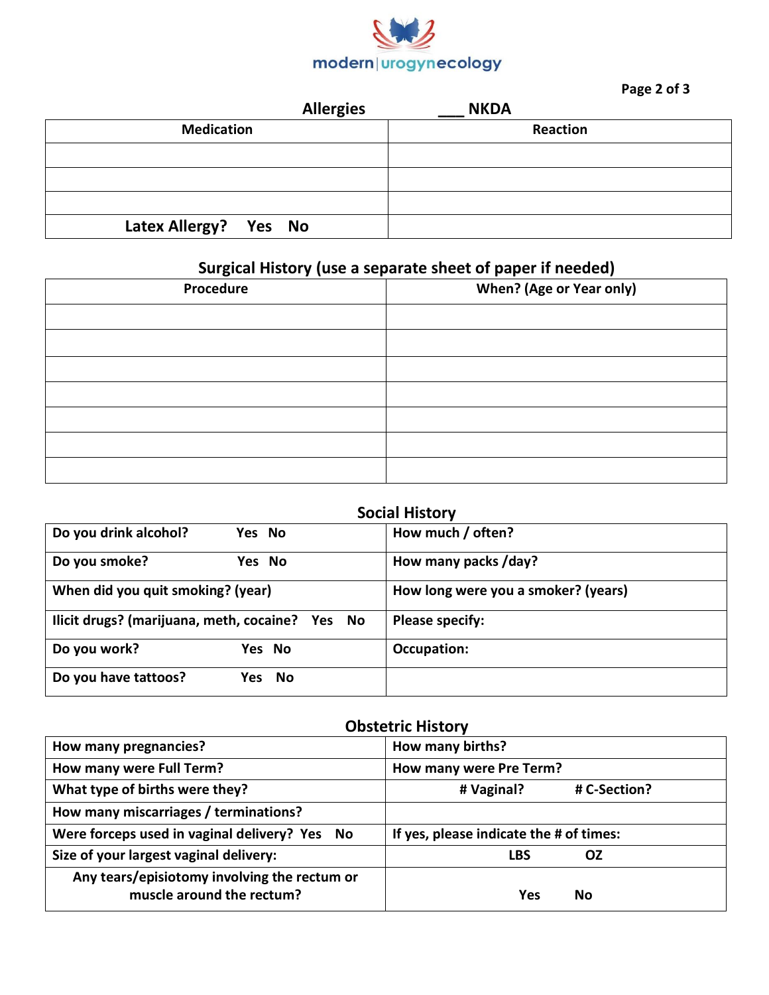

## **Page 2 of 3**

|                       | <b>Allergies</b> | <b>NKDA</b> |  |
|-----------------------|------------------|-------------|--|
| <b>Medication</b>     |                  | Reaction    |  |
|                       |                  |             |  |
|                       |                  |             |  |
|                       |                  |             |  |
| Latex Allergy? Yes No |                  |             |  |

# **Surgical History (use a separate sheet of paper if needed)**

| Procedure | <b>When? (Age or Year only)</b> |
|-----------|---------------------------------|
|           |                                 |
|           |                                 |
|           |                                 |
|           |                                 |
|           |                                 |
|           |                                 |
|           |                                 |

# **Social History**

| Do you drink alcohol?<br>Yes No                 | How much / often?                   |
|-------------------------------------------------|-------------------------------------|
| Do you smoke?<br>Yes No                         | How many packs /day?                |
| When did you quit smoking? (year)               | How long were you a smoker? (years) |
| Ilicit drugs? (marijuana, meth, cocaine? Yes No | <b>Please specify:</b>              |
| Do you work?<br>Yes No                          | Occupation:                         |
| Do you have tattoos?<br>Yes No                  |                                     |

## **Obstetric History**

| How many pregnancies?                                                     | How many births?                        |
|---------------------------------------------------------------------------|-----------------------------------------|
| How many were Full Term?                                                  | How many were Pre Term?                 |
| What type of births were they?                                            | # Vaginal?<br># C-Section?              |
| How many miscarriages / terminations?                                     |                                         |
| Were forceps used in vaginal delivery? Yes No                             | If yes, please indicate the # of times: |
| Size of your largest vaginal delivery:                                    | LBS<br>OZ                               |
| Any tears/episiotomy involving the rectum or<br>muscle around the rectum? | Yes<br>No                               |